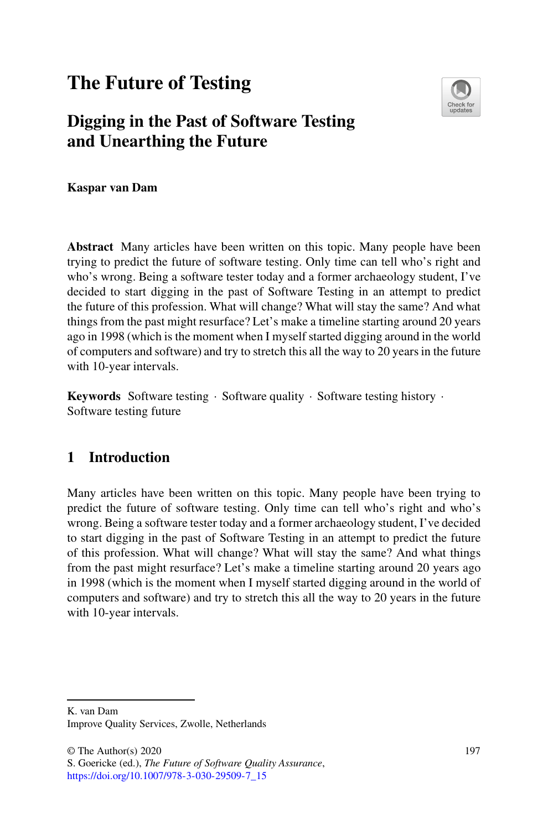# **The Future of Testing**



## **Digging in the Past of Software Testing and Unearthing the Future**

**Kaspar van Dam**

**Abstract** Many articles have been written on this topic. Many people have been trying to predict the future of software testing. Only time can tell who's right and who's wrong. Being a software tester today and a former archaeology student, I've decided to start digging in the past of Software Testing in an attempt to predict the future of this profession. What will change? What will stay the same? And what things from the past might resurface? Let's make a timeline starting around 20 years ago in 1998 (which is the moment when I myself started digging around in the world of computers and software) and try to stretch this all the way to 20 years in the future with 10-year intervals.

**Keywords** Software testing · Software quality · Software testing history · Software testing future

## **1 Introduction**

Many articles have been written on this topic. Many people have been trying to predict the future of software testing. Only time can tell who's right and who's wrong. Being a software tester today and a former archaeology student, I've decided to start digging in the past of Software Testing in an attempt to predict the future of this profession. What will change? What will stay the same? And what things from the past might resurface? Let's make a timeline starting around 20 years ago in 1998 (which is the moment when I myself started digging around in the world of computers and software) and try to stretch this all the way to 20 years in the future with 10-year intervals.

K. van Dam

Improve Quality Services, Zwolle, Netherlands

<sup>©</sup> The Author(s) 2020 S. Goericke (ed.), *The Future of Software Quality Assurance*, [https://doi.org/10.1007/978-3-030-29509-7\\_15](https://doi.org/10.1007/978-3-030-29509-7_15)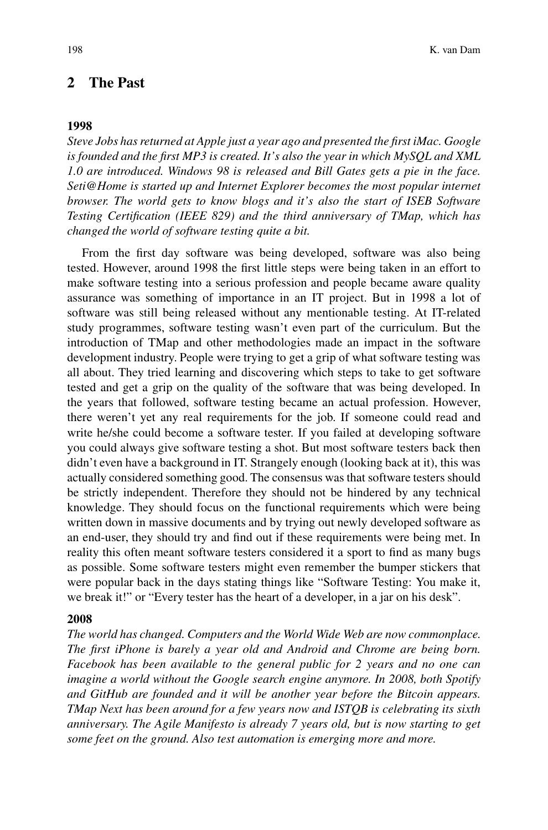#### **1998**

*Steve Jobs has returned at Apple just a year ago and presented the first iMac. Google is founded and the first MP3 is created. It's also the year in which MySQL and XML 1.0 are introduced. Windows 98 is released and Bill Gates gets a pie in the face. Seti@Home is started up and Internet Explorer becomes the most popular internet browser. The world gets to know blogs and it's also the start of ISEB Software Testing Certification (IEEE 829) and the third anniversary of TMap, which has changed the world of software testing quite a bit.*

From the first day software was being developed, software was also being tested. However, around 1998 the first little steps were being taken in an effort to make software testing into a serious profession and people became aware quality assurance was something of importance in an IT project. But in 1998 a lot of software was still being released without any mentionable testing. At IT-related study programmes, software testing wasn't even part of the curriculum. But the introduction of TMap and other methodologies made an impact in the software development industry. People were trying to get a grip of what software testing was all about. They tried learning and discovering which steps to take to get software tested and get a grip on the quality of the software that was being developed. In the years that followed, software testing became an actual profession. However, there weren't yet any real requirements for the job. If someone could read and write he/she could become a software tester. If you failed at developing software you could always give software testing a shot. But most software testers back then didn't even have a background in IT. Strangely enough (looking back at it), this was actually considered something good. The consensus was that software testers should be strictly independent. Therefore they should not be hindered by any technical knowledge. They should focus on the functional requirements which were being written down in massive documents and by trying out newly developed software as an end-user, they should try and find out if these requirements were being met. In reality this often meant software testers considered it a sport to find as many bugs as possible. Some software testers might even remember the bumper stickers that were popular back in the days stating things like "Software Testing: You make it, we break it!" or "Every tester has the heart of a developer, in a jar on his desk".

#### **2008**

*The world has changed. Computers and the World Wide Web are now commonplace. The first iPhone is barely a year old and Android and Chrome are being born. Facebook has been available to the general public for 2 years and no one can imagine a world without the Google search engine anymore. In 2008, both Spotify and GitHub are founded and it will be another year before the Bitcoin appears. TMap Next has been around for a few years now and ISTQB is celebrating its sixth anniversary. The Agile Manifesto is already 7 years old, but is now starting to get some feet on the ground. Also test automation is emerging more and more.*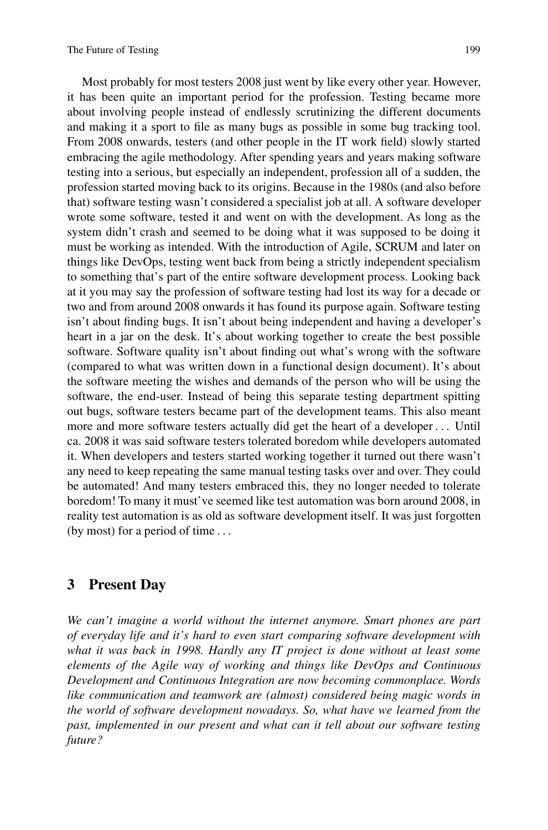Most probably for most testers 2008 just went by like every other year. However, it has been quite an important period for the profession. Testing became more about involving people instead of endlessly scrutinizing the different documents and making it a sport to file as many bugs as possible in some bug tracking tool. From 2008 onwards, testers (and other people in the IT work field) slowly started embracing the agile methodology. After spending years and years making software testing into a serious, but especially an independent, profession all of a sudden, the profession started moving back to its origins. Because in the 1980s (and also before that) software testing wasn't considered a specialist job at all. A software developer wrote some software, tested it and went on with the development. As long as the system didn't crash and seemed to be doing what it was supposed to be doing it must be working as intended. With the introduction of Agile, SCRUM and later on things like DevOps, testing went back from being a strictly independent specialism to something that's part of the entire software development process. Looking back at it you may say the profession of software testing had lost its way for a decade or two and from around 2008 onwards it has found its purpose again. Software testing isn't about finding bugs. It isn't about being independent and having a developer's heart in a jar on the desk. It's about working together to create the best possible software. Software quality isn't about finding out what's wrong with the software (compared to what was written down in a functional design document). It's about the software meeting the wishes and demands of the person who will be using the software, the end-user. Instead of being this separate testing department spitting out bugs, software testers became part of the development teams. This also meant more and more software testers actually did get the heart of a developer *...* Until ca. 2008 it was said software testers tolerated boredom while developers automated it. When developers and testers started working together it turned out there wasn't any need to keep repeating the same manual testing tasks over and over. They could be automated! And many testers embraced this, they no longer needed to tolerate boredom! To many it must've seemed like test automation was born around 2008, in reality test automation is as old as software development itself. It was just forgotten (by most) for a period of time *...*

## **3 Present Day**

*We can't imagine a world without the internet anymore. Smart phones are part of everyday life and it's hard to even start comparing software development with what it was back in 1998. Hardly any IT project is done without at least some elements of the Agile way of working and things like DevOps and Continuous Development and Continuous Integration are now becoming commonplace. Words like communication and teamwork are (almost) considered being magic words in the world of software development nowadays. So, what have we learned from the past, implemented in our present and what can it tell about our software testing future?*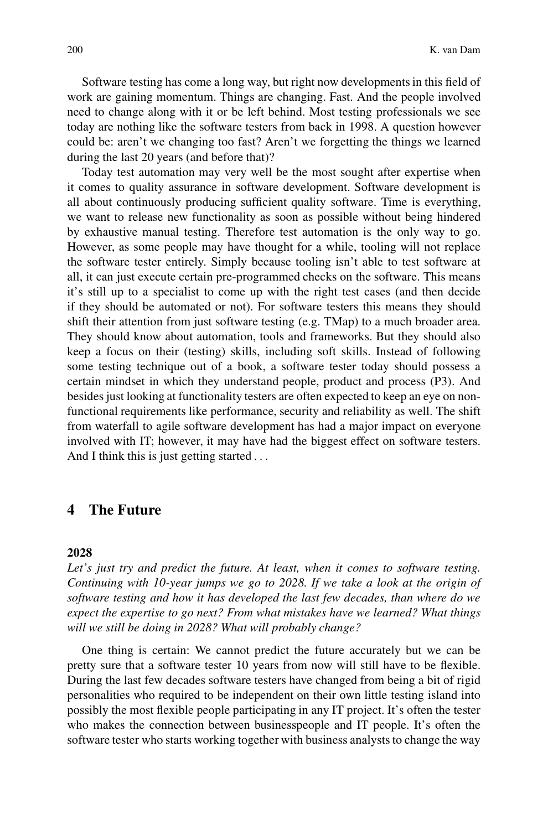Software testing has come a long way, but right now developments in this field of work are gaining momentum. Things are changing. Fast. And the people involved need to change along with it or be left behind. Most testing professionals we see today are nothing like the software testers from back in 1998. A question however could be: aren't we changing too fast? Aren't we forgetting the things we learned during the last 20 years (and before that)?

Today test automation may very well be the most sought after expertise when it comes to quality assurance in software development. Software development is all about continuously producing sufficient quality software. Time is everything, we want to release new functionality as soon as possible without being hindered by exhaustive manual testing. Therefore test automation is the only way to go. However, as some people may have thought for a while, tooling will not replace the software tester entirely. Simply because tooling isn't able to test software at all, it can just execute certain pre-programmed checks on the software. This means it's still up to a specialist to come up with the right test cases (and then decide if they should be automated or not). For software testers this means they should shift their attention from just software testing (e.g. TMap) to a much broader area. They should know about automation, tools and frameworks. But they should also keep a focus on their (testing) skills, including soft skills. Instead of following some testing technique out of a book, a software tester today should possess a certain mindset in which they understand people, product and process (P3). And besides just looking at functionality testers are often expected to keep an eye on nonfunctional requirements like performance, security and reliability as well. The shift from waterfall to agile software development has had a major impact on everyone involved with IT; however, it may have had the biggest effect on software testers. And I think this is just getting started *...*

### **4 The Future**

#### **2028**

*Let's just try and predict the future. At least, when it comes to software testing. Continuing with 10-year jumps we go to 2028. If we take a look at the origin of software testing and how it has developed the last few decades, than where do we expect the expertise to go next? From what mistakes have we learned? What things will we still be doing in 2028? What will probably change?*

One thing is certain: We cannot predict the future accurately but we can be pretty sure that a software tester 10 years from now will still have to be flexible. During the last few decades software testers have changed from being a bit of rigid personalities who required to be independent on their own little testing island into possibly the most flexible people participating in any IT project. It's often the tester who makes the connection between businesspeople and IT people. It's often the software tester who starts working together with business analysts to change the way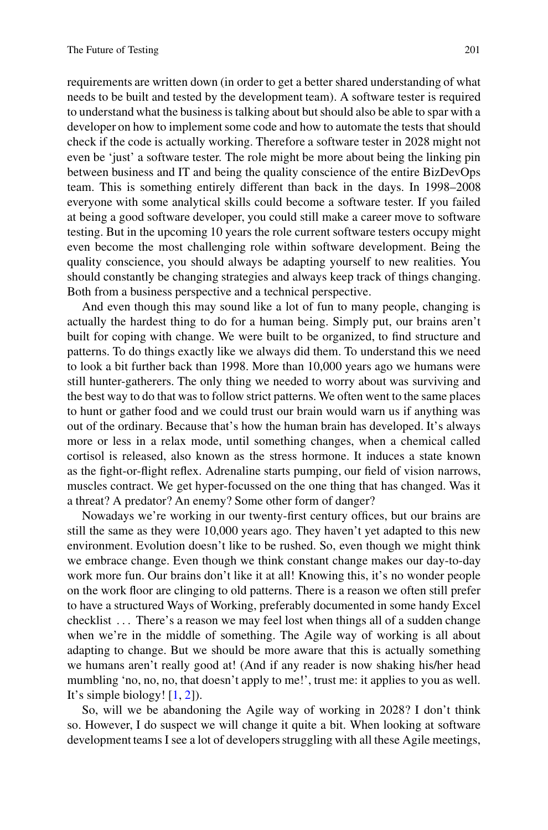requirements are written down (in order to get a better shared understanding of what needs to be built and tested by the development team). A software tester is required to understand what the business is talking about but should also be able to spar with a developer on how to implement some code and how to automate the tests that should check if the code is actually working. Therefore a software tester in 2028 might not even be 'just' a software tester. The role might be more about being the linking pin between business and IT and being the quality conscience of the entire BizDevOps team. This is something entirely different than back in the days. In 1998–2008 everyone with some analytical skills could become a software tester. If you failed at being a good software developer, you could still make a career move to software testing. But in the upcoming 10 years the role current software testers occupy might even become the most challenging role within software development. Being the quality conscience, you should always be adapting yourself to new realities. You should constantly be changing strategies and always keep track of things changing. Both from a business perspective and a technical perspective.

And even though this may sound like a lot of fun to many people, changing is actually the hardest thing to do for a human being. Simply put, our brains aren't built for coping with change. We were built to be organized, to find structure and patterns. To do things exactly like we always did them. To understand this we need to look a bit further back than 1998. More than 10,000 years ago we humans were still hunter-gatherers. The only thing we needed to worry about was surviving and the best way to do that was to follow strict patterns. We often went to the same places to hunt or gather food and we could trust our brain would warn us if anything was out of the ordinary. Because that's how the human brain has developed. It's always more or less in a relax mode, until something changes, when a chemical called cortisol is released, also known as the stress hormone. It induces a state known as the fight-or-flight reflex. Adrenaline starts pumping, our field of vision narrows, muscles contract. We get hyper-focussed on the one thing that has changed. Was it a threat? A predator? An enemy? Some other form of danger?

Nowadays we're working in our twenty-first century offices, but our brains are still the same as they were 10,000 years ago. They haven't yet adapted to this new environment. Evolution doesn't like to be rushed. So, even though we might think we embrace change. Even though we think constant change makes our day-to-day work more fun. Our brains don't like it at all! Knowing this, it's no wonder people on the work floor are clinging to old patterns. There is a reason we often still prefer to have a structured Ways of Working, preferably documented in some handy Excel checklist *...* There's a reason we may feel lost when things all of a sudden change when we're in the middle of something. The Agile way of working is all about adapting to change. But we should be more aware that this is actually something we humans aren't really good at! (And if any reader is now shaking his/her head mumbling 'no, no, no, that doesn't apply to me!', trust me: it applies to you as well. It's simple biology! [\[1,](#page-8-0) [2\]](#page-8-1)).

So, will we be abandoning the Agile way of working in 2028? I don't think so. However, I do suspect we will change it quite a bit. When looking at software development teams I see a lot of developers struggling with all these Agile meetings,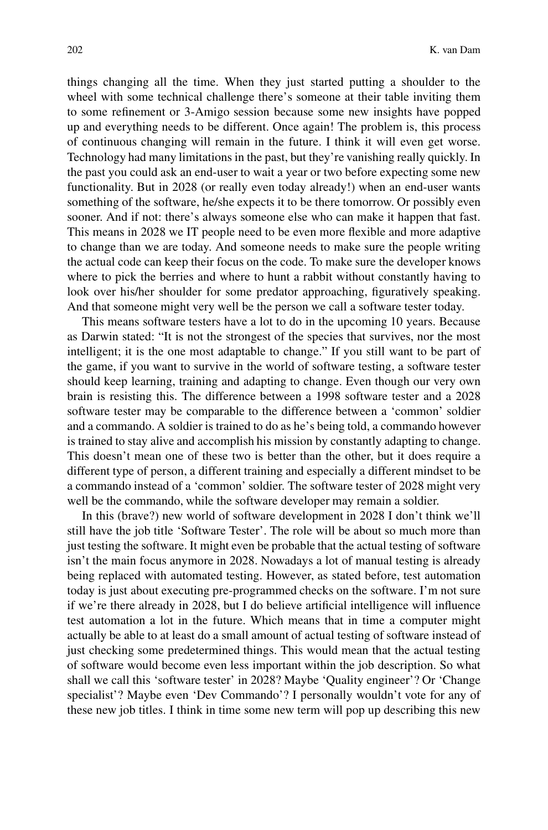things changing all the time. When they just started putting a shoulder to the wheel with some technical challenge there's someone at their table inviting them to some refinement or 3-Amigo session because some new insights have popped up and everything needs to be different. Once again! The problem is, this process of continuous changing will remain in the future. I think it will even get worse. Technology had many limitations in the past, but they're vanishing really quickly. In the past you could ask an end-user to wait a year or two before expecting some new functionality. But in 2028 (or really even today already!) when an end-user wants something of the software, he/she expects it to be there tomorrow. Or possibly even sooner. And if not: there's always someone else who can make it happen that fast. This means in 2028 we IT people need to be even more flexible and more adaptive to change than we are today. And someone needs to make sure the people writing the actual code can keep their focus on the code. To make sure the developer knows where to pick the berries and where to hunt a rabbit without constantly having to look over his/her shoulder for some predator approaching, figuratively speaking. And that someone might very well be the person we call a software tester today.

This means software testers have a lot to do in the upcoming 10 years. Because as Darwin stated: "It is not the strongest of the species that survives, nor the most intelligent; it is the one most adaptable to change." If you still want to be part of the game, if you want to survive in the world of software testing, a software tester should keep learning, training and adapting to change. Even though our very own brain is resisting this. The difference between a 1998 software tester and a 2028 software tester may be comparable to the difference between a 'common' soldier and a commando. A soldier is trained to do as he's being told, a commando however is trained to stay alive and accomplish his mission by constantly adapting to change. This doesn't mean one of these two is better than the other, but it does require a different type of person, a different training and especially a different mindset to be a commando instead of a 'common' soldier. The software tester of 2028 might very well be the commando, while the software developer may remain a soldier.

In this (brave?) new world of software development in 2028 I don't think we'll still have the job title 'Software Tester'. The role will be about so much more than just testing the software. It might even be probable that the actual testing of software isn't the main focus anymore in 2028. Nowadays a lot of manual testing is already being replaced with automated testing. However, as stated before, test automation today is just about executing pre-programmed checks on the software. I'm not sure if we're there already in 2028, but I do believe artificial intelligence will influence test automation a lot in the future. Which means that in time a computer might actually be able to at least do a small amount of actual testing of software instead of just checking some predetermined things. This would mean that the actual testing of software would become even less important within the job description. So what shall we call this 'software tester' in 2028? Maybe 'Quality engineer'? Or 'Change specialist'? Maybe even 'Dev Commando'? I personally wouldn't vote for any of these new job titles. I think in time some new term will pop up describing this new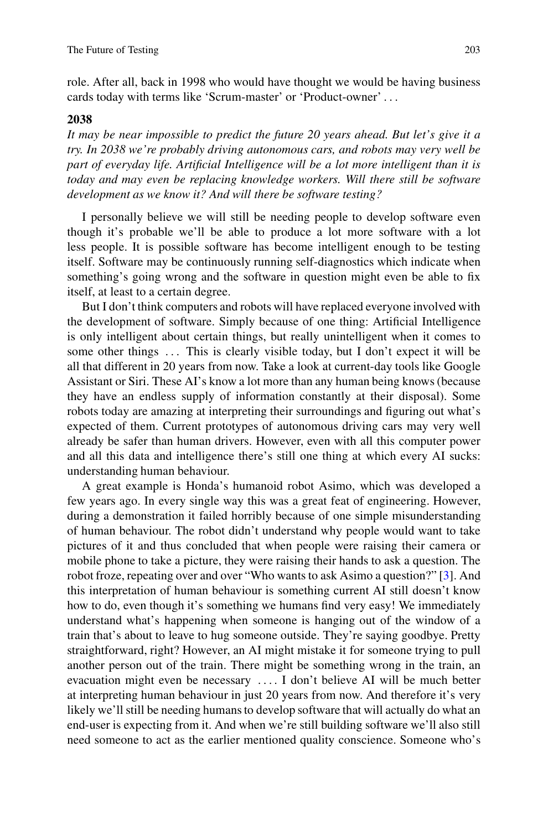role. After all, back in 1998 who would have thought we would be having business cards today with terms like 'Scrum-master' or 'Product-owner' *...*

#### **2038**

*It may be near impossible to predict the future 20 years ahead. But let's give it a try. In 2038 we're probably driving autonomous cars, and robots may very well be part of everyday life. Artificial Intelligence will be a lot more intelligent than it is today and may even be replacing knowledge workers. Will there still be software development as we know it? And will there be software testing?*

I personally believe we will still be needing people to develop software even though it's probable we'll be able to produce a lot more software with a lot less people. It is possible software has become intelligent enough to be testing itself. Software may be continuously running self-diagnostics which indicate when something's going wrong and the software in question might even be able to fix itself, at least to a certain degree.

But I don't think computers and robots will have replaced everyone involved with the development of software. Simply because of one thing: Artificial Intelligence is only intelligent about certain things, but really unintelligent when it comes to some other things *...* This is clearly visible today, but I don't expect it will be all that different in 20 years from now. Take a look at current-day tools like Google Assistant or Siri. These AI's know a lot more than any human being knows (because they have an endless supply of information constantly at their disposal). Some robots today are amazing at interpreting their surroundings and figuring out what's expected of them. Current prototypes of autonomous driving cars may very well already be safer than human drivers. However, even with all this computer power and all this data and intelligence there's still one thing at which every AI sucks: understanding human behaviour.

A great example is Honda's humanoid robot Asimo, which was developed a few years ago. In every single way this was a great feat of engineering. However, during a demonstration it failed horribly because of one simple misunderstanding of human behaviour. The robot didn't understand why people would want to take pictures of it and thus concluded that when people were raising their camera or mobile phone to take a picture, they were raising their hands to ask a question. The robot froze, repeating over and over "Who wants to ask Asimo a question?" [\[3\]](#page-8-2). And this interpretation of human behaviour is something current AI still doesn't know how to do, even though it's something we humans find very easy! We immediately understand what's happening when someone is hanging out of the window of a train that's about to leave to hug someone outside. They're saying goodbye. Pretty straightforward, right? However, an AI might mistake it for someone trying to pull another person out of the train. There might be something wrong in the train, an evacuation might even be necessary *...* . I don't believe AI will be much better at interpreting human behaviour in just 20 years from now. And therefore it's very likely we'll still be needing humans to develop software that will actually do what an end-user is expecting from it. And when we're still building software we'll also still need someone to act as the earlier mentioned quality conscience. Someone who's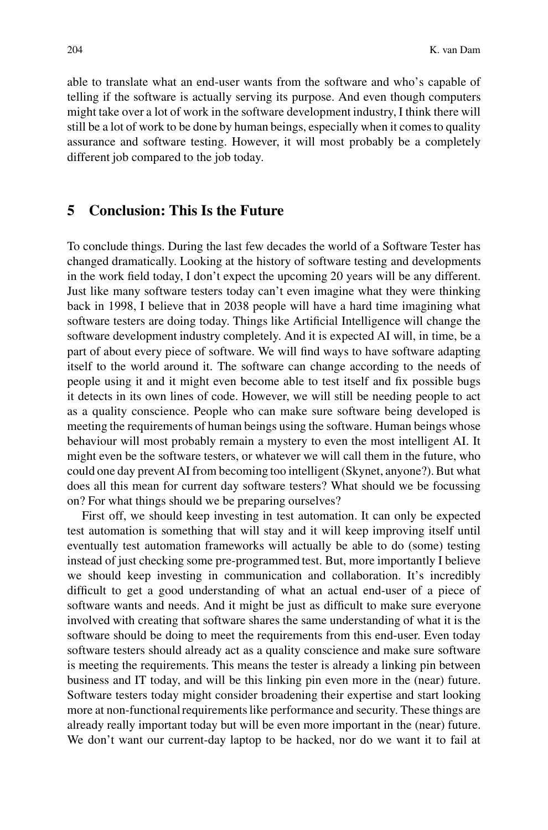able to translate what an end-user wants from the software and who's capable of telling if the software is actually serving its purpose. And even though computers might take over a lot of work in the software development industry, I think there will still be a lot of work to be done by human beings, especially when it comes to quality assurance and software testing. However, it will most probably be a completely different job compared to the job today.

### **5 Conclusion: This Is the Future**

To conclude things. During the last few decades the world of a Software Tester has changed dramatically. Looking at the history of software testing and developments in the work field today, I don't expect the upcoming 20 years will be any different. Just like many software testers today can't even imagine what they were thinking back in 1998, I believe that in 2038 people will have a hard time imagining what software testers are doing today. Things like Artificial Intelligence will change the software development industry completely. And it is expected AI will, in time, be a part of about every piece of software. We will find ways to have software adapting itself to the world around it. The software can change according to the needs of people using it and it might even become able to test itself and fix possible bugs it detects in its own lines of code. However, we will still be needing people to act as a quality conscience. People who can make sure software being developed is meeting the requirements of human beings using the software. Human beings whose behaviour will most probably remain a mystery to even the most intelligent AI. It might even be the software testers, or whatever we will call them in the future, who could one day prevent AI from becoming too intelligent (Skynet, anyone?). But what does all this mean for current day software testers? What should we be focussing on? For what things should we be preparing ourselves?

First off, we should keep investing in test automation. It can only be expected test automation is something that will stay and it will keep improving itself until eventually test automation frameworks will actually be able to do (some) testing instead of just checking some pre-programmed test. But, more importantly I believe we should keep investing in communication and collaboration. It's incredibly difficult to get a good understanding of what an actual end-user of a piece of software wants and needs. And it might be just as difficult to make sure everyone involved with creating that software shares the same understanding of what it is the software should be doing to meet the requirements from this end-user. Even today software testers should already act as a quality conscience and make sure software is meeting the requirements. This means the tester is already a linking pin between business and IT today, and will be this linking pin even more in the (near) future. Software testers today might consider broadening their expertise and start looking more at non-functional requirements like performance and security. These things are already really important today but will be even more important in the (near) future. We don't want our current-day laptop to be hacked, nor do we want it to fail at